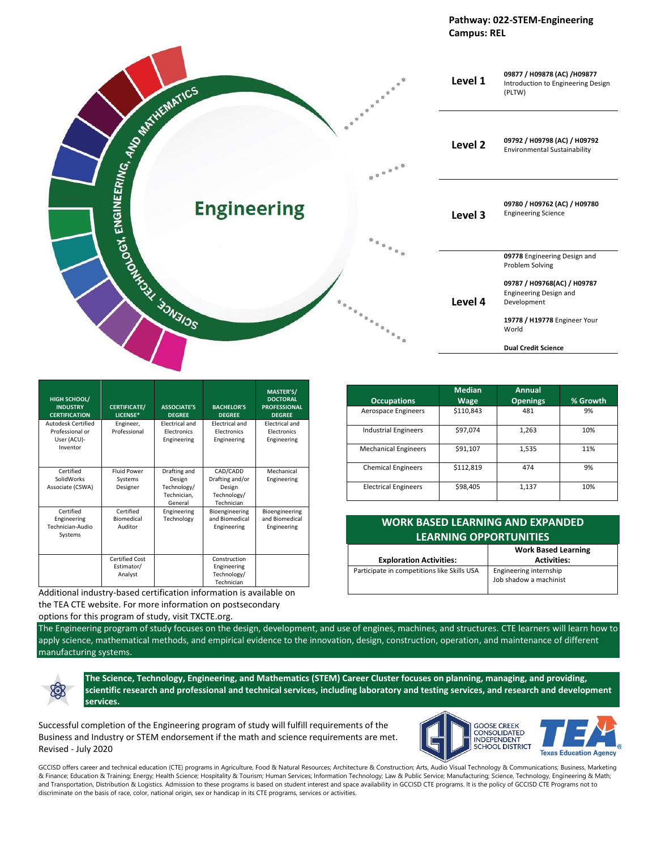



| HIGH SCHOOL/<br><b>INDUSTRY</b><br><b>CERTIFICATION</b>          | <b>CERTIFICATE/</b><br>LICENSE*                | <b>ASSOCIATE'S</b><br><b>DEGREE</b>                             | <b>BACHELOR'S</b><br><b>DEGREE</b>                                 | MASTER'S/<br><b>DOCTORAL</b><br><b>PROFESSIONAL</b><br><b>DEGREE</b> |
|------------------------------------------------------------------|------------------------------------------------|-----------------------------------------------------------------|--------------------------------------------------------------------|----------------------------------------------------------------------|
| Autodesk Certified<br>Professional or<br>User (ACU)-<br>Inventor | Engineer,<br>Professional                      | <b>Electrical and</b><br><b>Electronics</b><br>Engineering      | <b>Electrical and</b><br><b>Electronics</b><br>Engineering         | <b>Electrical and</b><br><b>Electronics</b><br>Engineering           |
| Certified<br>SolidWorks<br>Associate (CSWA)                      | <b>Fluid Power</b><br>Systems<br>Designer      | Drafting and<br>Design<br>Technology/<br>Technician,<br>General | CAD/CADD<br>Drafting and/or<br>Design<br>Technology/<br>Technician | Mechanical<br>Engineering                                            |
| Certified<br>Engineering<br>Technician-Audio<br>Systems          | Certified<br>Biomedical<br>Auditor             | Engineering<br>Technology                                       | Bioengineering<br>and Biomedical<br>Engineering                    | Bioengineering<br>and Biomedical<br>Engineering                      |
|                                                                  | <b>Certified Cost</b><br>Estimator/<br>Analyst |                                                                 | Construction<br>Engineering<br>Technology/<br>Technician           |                                                                      |

Additional industry-based certification information is available on the TEA CTE website. For more information on postsecondary

|  | options for this program of study, visit TXCTE.org. |
|--|-----------------------------------------------------|
|  |                                                     |

XX

The Engineering program of study focuses on the design, development, and use of engines, machines, and structures. CTE learners will learn how to apply science, mathematical methods, and empirical evidence to the innovation, design, construction, operation, and maintenance of different manufacturing systems.

**The Science, Technology, Engineering, and Mathematics (STEM) Career Cluster focuses on planning, managing, and providing, scientific research and professional and technical services, including laboratory and testing services, and research and development services.**

Successful completion of the Engineering program of study will fulfill requirements of the Business and Industry or STEM endorsement if the math and science requirements are met. Revised - July 2020



GCCISD offers career and technical education (CTE) programs in Agriculture, Food & Natural Resources; Architecture & Construction; Arts, Audio Visual Technology & Communications; Business, Marketing & Finance; Education & Training; Energy; Health Science; Hospitality & Tourism; Human Services; Information Technology; Law & Public Service; Manufacturing; Science, Technology, Engineering & Math; and Transportation, Distribution & Logistics. Admission to these programs is based on student interest and space availability in GCCISD CTE programs. It is the policy of GCCISD CTE Programs not to discriminate on the basis of race, color, national origin, sex or handicap in its CTE programs, services or activities.

| <b>Occupations</b>          | <b>Median</b><br><b>Wage</b> | Annual<br><b>Openings</b> | % Growth |
|-----------------------------|------------------------------|---------------------------|----------|
| Aerospace Engineers         | \$110,843                    | 481                       | 9%       |
| <b>Industrial Engineers</b> | \$97,074                     | 1,263                     | 10%      |
| <b>Mechanical Engineers</b> | \$91,107                     | 1,535                     | 11%      |
| <b>Chemical Engineers</b>   | \$112,819                    | 474                       | 9%       |
| <b>Electrical Engineers</b> | \$98,405                     | 1,137                     | 10%      |

| <b>WORK BASED LEARNING AND EXPANDED</b><br><b>LEARNING OPPORTUNITIES</b> |                            |  |  |
|--------------------------------------------------------------------------|----------------------------|--|--|
|                                                                          | <b>Work Based Learning</b> |  |  |
| <b>Exploration Activities:</b>                                           | <b>Activities:</b>         |  |  |
| Participate in competitions like Skills USA                              | Engineering internship     |  |  |
|                                                                          | Job shadow a machinist     |  |  |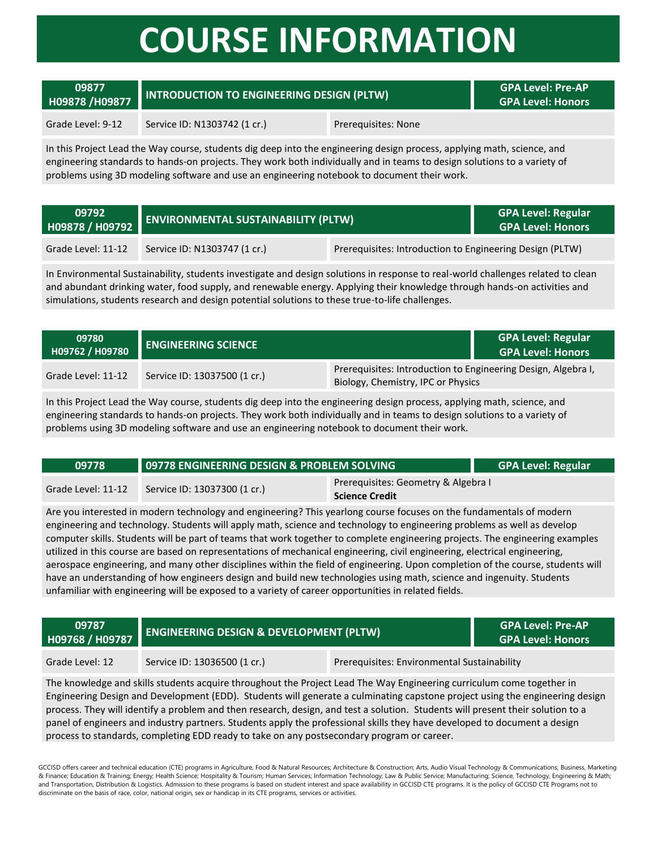## **COURSE INFORMATION**

#### **09877 HOPRET 19877 INTRODUCTION TO ENGINEERING DESIGN (PLTW) GPA Level: Pre-AP**<br>GPA Level: Honors

**GPA Level: Honors**

#### Grade Level: 9-12 Service ID: N1303742 (1 cr.) Prerequisites: None

In this Project Lead the Way course, students dig deep into the engineering design process, applying math, science, and engineering standards to hands-on projects. They work both individually and in teams to design solutions to a variety of problems using 3D modeling software and use an engineering notebook to document their work.

| 09792<br>H09878 / H09792 | <b>ENVIRONMENTAL SUSTAINABILITY (PLTW)</b> |                                                          | <b>GPA Level: Regular</b><br><b>GPA Level: Honors</b> |
|--------------------------|--------------------------------------------|----------------------------------------------------------|-------------------------------------------------------|
| Grade Level: 11-12       | Service ID: N1303747 (1 cr.)               | Prerequisites: Introduction to Engineering Design (PLTW) |                                                       |

In Environmental Sustainability, students investigate and design solutions in response to real-world challenges related to clean and abundant drinking water, food supply, and renewable energy. Applying their knowledge through hands-on activities and simulations, students research and design potential solutions to these true-to-life challenges.

| 09780<br>H09762 / H09780 | <b>LENGINEERING SCIENCE</b>  |                                                                                                     | <b>GPA Level: Regular</b><br><b>GPA Level: Honors</b> |
|--------------------------|------------------------------|-----------------------------------------------------------------------------------------------------|-------------------------------------------------------|
| Grade Level: 11-12       | Service ID: 13037500 (1 cr.) | Prerequisites: Introduction to Engineering Design, Algebra I,<br>Biology, Chemistry, IPC or Physics |                                                       |

In this Project Lead the Way course, students dig deep into the engineering design process, applying math, science, and engineering standards to hands-on projects. They work both individually and in teams to design solutions to a variety of problems using 3D modeling software and use an engineering notebook to document their work.

| 09778              | <b>O9778 ENGINEERING DESIGN &amp; PROBLEM SOLVING</b> |                                                              | <b>GPA Level: Regular</b> |
|--------------------|-------------------------------------------------------|--------------------------------------------------------------|---------------------------|
| Grade Level: 11-12 | Service ID: 13037300 (1 cr.)                          | Prerequisites: Geometry & Algebra I<br><b>Science Credit</b> |                           |

Are you interested in modern technology and engineering? This yearlong course focuses on the fundamentals of modern engineering and technology. Students will apply math, science and technology to engineering problems as well as develop computer skills. Students will be part of teams that work together to complete engineering projects. The engineering examples utilized in this course are based on representations of mechanical engineering, civil engineering, electrical engineering, aerospace engineering, and many other disciplines within the field of engineering. Upon completion of the course, students will have an understanding of how engineers design and build new technologies using math, science and ingenuity. Students unfamiliar with engineering will be exposed to a variety of career opportunities in related fields.

| 09787<br>H09768 / H09787 | <b>ENGINEERING DESIGN &amp; DEVELOPMENT (PLTW)</b> |                                             | <b>GPA Level: Pre-AP</b><br><b>GPA Level: Honors</b> |
|--------------------------|----------------------------------------------------|---------------------------------------------|------------------------------------------------------|
| Grade Level: 12          | Service ID: 13036500 (1 cr.)                       | Prerequisites: Environmental Sustainability |                                                      |

The knowledge and skills students acquire throughout the Project Lead The Way Engineering curriculum come together in Engineering Design and Development (EDD). Students will generate a culminating capstone project using the engineering design process. They will identify a problem and then research, design, and test a solution. Students will present their solution to a panel of engineers and industry partners. Students apply the professional skills they have developed to document a design process to standards, completing EDD ready to take on any postsecondary program or career.

GCCISD offers career and technical education (CTE) programs in Agriculture, Food & Natural Resources; Architecture & Construction; Arts, Audio Visual Technology & Communications; Business, Marketing & Finance; Education & Training; Energy; Health Science; Hospitality & Tourism; Human Services; Information Technology; Law & Public Service; Manufacturing; Science, Technology, Engineering & Math; and Transportation, Distribution & Logistics. Admission to these programs is based on student interest and space availability in GCCISD CTE programs. It is the policy of GCCISD CTE Programs not to discriminate on the basis of race, color, national origin, sex or handicap in its CTE programs, services or activities.